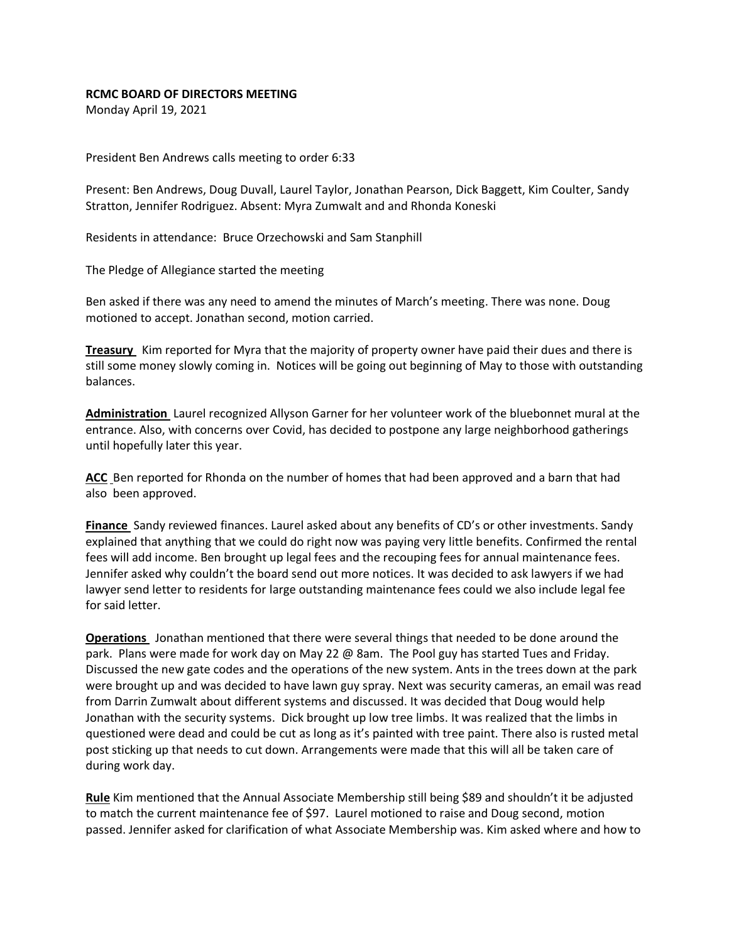## **RCMC BOARD OF DIRECTORS MEETING**

Monday April 19, 2021

President Ben Andrews calls meeting to order 6:33

Present: Ben Andrews, Doug Duvall, Laurel Taylor, Jonathan Pearson, Dick Baggett, Kim Coulter, Sandy Stratton, Jennifer Rodriguez. Absent: Myra Zumwalt and and Rhonda Koneski

Residents in attendance: Bruce Orzechowski and Sam Stanphill

The Pledge of Allegiance started the meeting

Ben asked if there was any need to amend the minutes of March's meeting. There was none. Doug motioned to accept. Jonathan second, motion carried.

**Treasury** Kim reported for Myra that the majority of property owner have paid their dues and there is still some money slowly coming in. Notices will be going out beginning of May to those with outstanding balances.

**Administration** Laurel recognized Allyson Garner for her volunteer work of the bluebonnet mural at the entrance. Also, with concerns over Covid, has decided to postpone any large neighborhood gatherings until hopefully later this year.

**ACC** Ben reported for Rhonda on the number of homes that had been approved and a barn that had also been approved.

**Finance** Sandy reviewed finances. Laurel asked about any benefits of CD's or other investments. Sandy explained that anything that we could do right now was paying very little benefits. Confirmed the rental fees will add income. Ben brought up legal fees and the recouping fees for annual maintenance fees. Jennifer asked why couldn't the board send out more notices. It was decided to ask lawyers if we had lawyer send letter to residents for large outstanding maintenance fees could we also include legal fee for said letter.

**Operations** Jonathan mentioned that there were several things that needed to be done around the park. Plans were made for work day on May 22 @ 8am. The Pool guy has started Tues and Friday. Discussed the new gate codes and the operations of the new system. Ants in the trees down at the park were brought up and was decided to have lawn guy spray. Next was security cameras, an email was read from Darrin Zumwalt about different systems and discussed. It was decided that Doug would help Jonathan with the security systems. Dick brought up low tree limbs. It was realized that the limbs in questioned were dead and could be cut as long as it's painted with tree paint. There also is rusted metal post sticking up that needs to cut down. Arrangements were made that this will all be taken care of during work day.

**Rule** Kim mentioned that the Annual Associate Membership still being \$89 and shouldn't it be adjusted to match the current maintenance fee of \$97. Laurel motioned to raise and Doug second, motion passed. Jennifer asked for clarification of what Associate Membership was. Kim asked where and how to